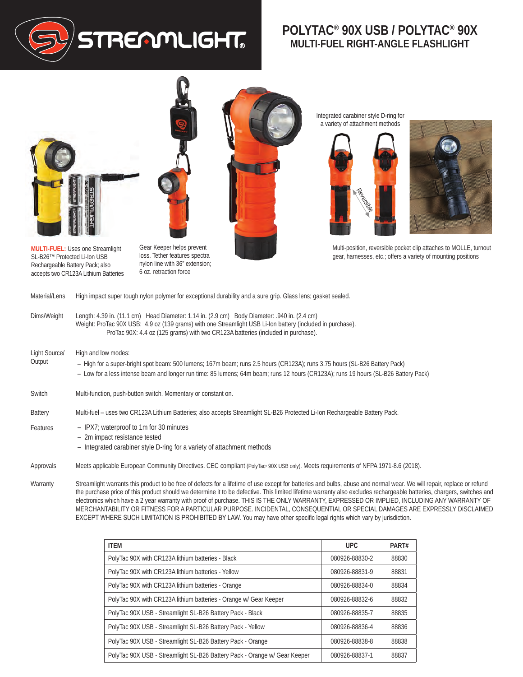

## **POLYTAC® 90X USB / POLYTAC® 90X MULTI-FUEL RIGHT-ANGLE FLASHLIGHT**





**MULTI-FUEL:** Uses one Streamlight SL-B26™ Protected Li-Ion USB Rechargeable Battery Pack; also accepts two CR123A Lithium Batteries

Gear Keeper helps prevent loss. Tether features spectra nylon line with 36" extension; 6 oz. retraction force



Integrated carabiner style D-ring for a variety of attachment methods





Multi-position, reversible pocket clip attaches to MOLLE, turnout gear, harnesses, etc.; offers a variety of mounting positions

| Material/Lens           | High impact super tough nylon polymer for exceptional durability and a sure grip. Glass lens; gasket sealed.                                                                                                                                                                                   |
|-------------------------|------------------------------------------------------------------------------------------------------------------------------------------------------------------------------------------------------------------------------------------------------------------------------------------------|
| Dims/Weight             | Length: 4.39 in. (11.1 cm) Head Diameter: 1.14 in. (2.9 cm) Body Diameter: .940 in. (2.4 cm)<br>Weight: ProTac 90X USB: 4.9 oz (139 grams) with one Streamlight USB Li-lon battery (included in purchase).<br>ProTac 90X: 4.4 oz (125 grams) with two CR123A batteries (included in purchase). |
| Light Source/<br>Output | High and low modes:<br>- High for a super-bright spot beam: 500 lumens; 167m beam; runs 2.5 hours (CR123A); runs 3.75 hours (SL-B26 Battery Pack)<br>- Low for a less intense beam and longer run time: 85 lumens; 64m beam; runs 12 hours (CR123A); runs 19 hours (SL-B26 Battery Pack)       |
| Switch                  | Multi-function, push-button switch. Momentary or constant on.                                                                                                                                                                                                                                  |
| <b>Battery</b>          | Multi-fuel – uses two CR123A Lithium Batteries; also accepts Streamlight SL-B26 Protected Li-Ion Rechargeable Battery Pack.                                                                                                                                                                    |
| Features                | - IPX7; waterproof to 1m for 30 minutes                                                                                                                                                                                                                                                        |

- 2m impact resistance tested
- Integrated carabiner style D-ring for a variety of attachment methods
- Approvals Meets applicable European Community Directives. CEC compliant (PolyTac<sup>,</sup> 90X USB only). Meets requirements of NFPA 1971-8.6 (2018).

Warranty Streamlight warrants this product to be free of defects for a lifetime of use except for batteries and bulbs, abuse and normal wear. We will repair, replace or refund the purchase price of this product should we determine it to be defective. This limited lifetime warranty also excludes rechargeable batteries, chargers, switches and electronics which have a 2 year warranty with proof of purchase. THIS IS THE ONLY WARRANTY, EXPRESSED OR IMPLIED, INCLUDING ANY WARRANTY OF MERCHANTABILITY OR FITNESS FOR A PARTICULAR PURPOSE. INCIDENTAL, CONSEQUENTIAL OR SPECIAL DAMAGES ARE EXPRESSLY DISCLAIMED EXCEPT WHERE SUCH LIMITATION IS PROHIBITED BY LAW. You may have other specific legal rights which vary by jurisdiction.

| <b>ITEM</b>                                                               | <b>UPC</b>     | PART# |
|---------------------------------------------------------------------------|----------------|-------|
| PolyTac 90X with CR123A lithium batteries - Black                         | 080926-88830-2 | 88830 |
| PolyTac 90X with CR123A lithium batteries - Yellow                        | 080926-88831-9 | 88831 |
| PolyTac 90X with CR123A lithium batteries - Orange                        | 080926-88834-0 | 88834 |
| PolyTac 90X with CR123A lithium batteries - Orange w/ Gear Keeper         | 080926-88832-6 | 88832 |
| PolyTac 90X USB - Streamlight SL-B26 Battery Pack - Black                 | 080926-88835-7 | 88835 |
| PolyTac 90X USB - Streamlight SL-B26 Battery Pack - Yellow                | 080926-88836-4 | 88836 |
| PolyTac 90X USB - Streamlight SL-B26 Battery Pack - Orange                | 080926-88838-8 | 88838 |
| PolyTac 90X USB - Streamlight SL-B26 Battery Pack - Orange w/ Gear Keeper | 080926-88837-1 | 88837 |